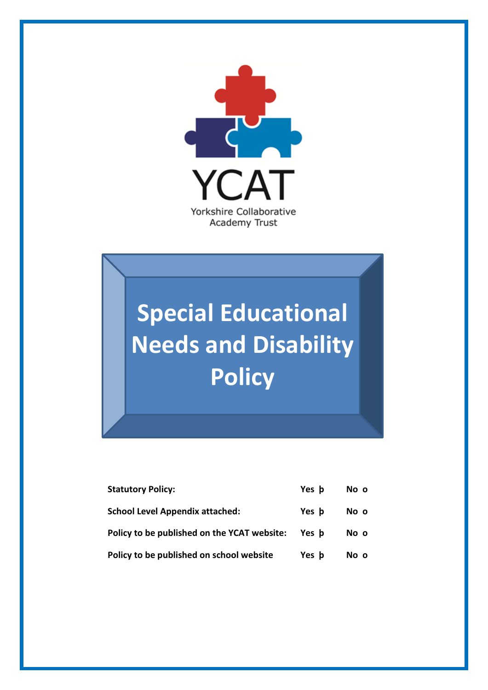

# **Special Educational Needs and Disability Policy**

| <b>Statutory Policy:</b>                    | Yes b        | No o |
|---------------------------------------------|--------------|------|
| <b>School Level Appendix attached:</b>      | Yes <b>b</b> | No o |
| Policy to be published on the YCAT website: | Yes b        | No o |
| Policy to be published on school website    | Yes b        | No o |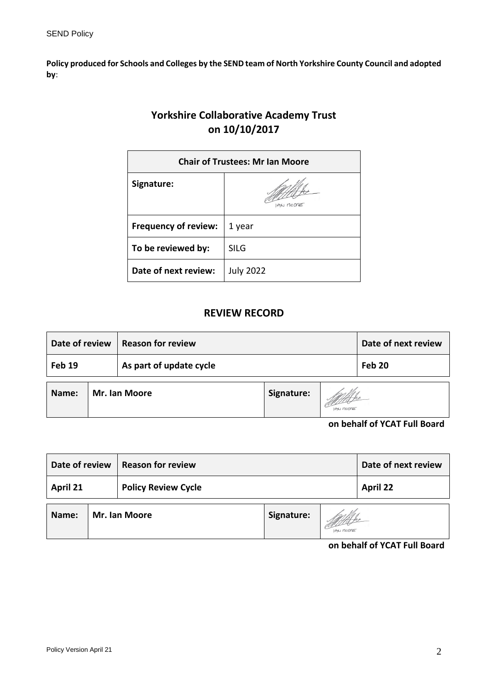**Policy produced for Schools and Colleges by the SEND team of North Yorkshire County Council and adopted by**:

# **Yorkshire Collaborative Academy Trust on 10/10/2017**

| <b>Chair of Trustees: Mr Ian Moore</b> |                  |  |
|----------------------------------------|------------------|--|
| Signature:                             | AN MOONE         |  |
| <b>Frequency of review:</b>            | 1 year           |  |
| To be reviewed by:                     | <b>SILG</b>      |  |
| Date of next review:                   | <b>July 2022</b> |  |

## **REVIEW RECORD**

|                                          | Date of review<br><b>Reason for review</b> |               | Date of next review |           |  |
|------------------------------------------|--------------------------------------------|---------------|---------------------|-----------|--|
| <b>Feb 19</b><br>As part of update cycle |                                            | Feb 20        |                     |           |  |
| Name:                                    |                                            | Mr. Ian Moore | Signature:          | IAN MOONE |  |

**on behalf of YCAT Full Board**

|          | Date of review<br><b>Reason for review</b> |               | Date of next review |                  |  |
|----------|--------------------------------------------|---------------|---------------------|------------------|--|
| April 21 | <b>Policy Review Cycle</b>                 |               | April 22            |                  |  |
| Name:    |                                            | Mr. Ian Moore | Signature:          | <b>JAN MOONE</b> |  |

**on behalf of YCAT Full Board**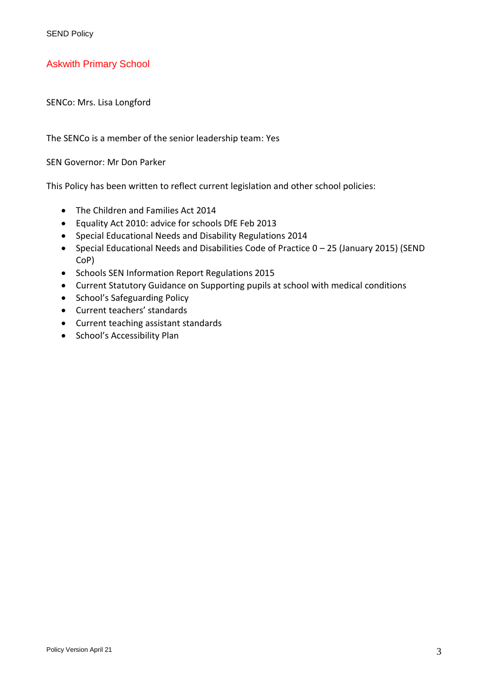### Askwith Primary School

SENCo: Mrs. Lisa Longford

The SENCo is a member of the senior leadership team: Yes

SEN Governor: Mr Don Parker

This Policy has been written to reflect current legislation and other school policies:

- The Children and Families Act 2014
- Equality Act 2010: advice for schools DfE Feb 2013
- Special Educational Needs and Disability Regulations 2014
- Special Educational Needs and Disabilities Code of Practice  $0 25$  (January 2015) (SEND CoP)
- Schools SEN Information Report Regulations 2015
- Current Statutory Guidance on Supporting pupils at school with medical conditions
- School's Safeguarding Policy
- Current teachers' standards
- Current teaching assistant standards
- School's Accessibility Plan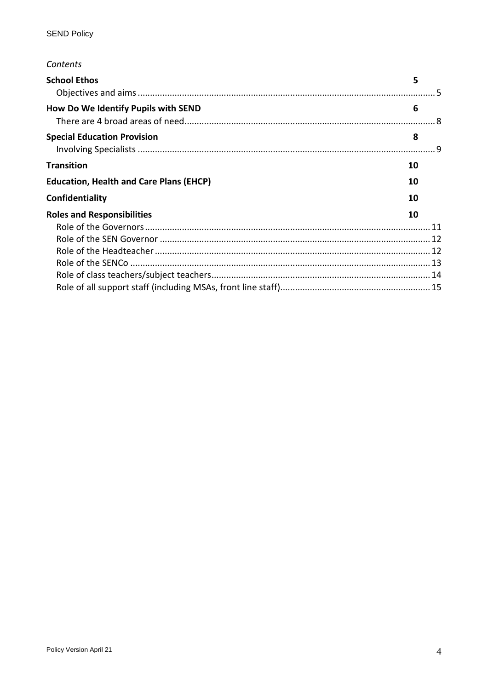| Contents                                       |    |  |
|------------------------------------------------|----|--|
| <b>School Ethos</b>                            | 5  |  |
| How Do We Identify Pupils with SEND            | 6  |  |
| <b>Special Education Provision</b>             | 8  |  |
| <b>Transition</b>                              | 10 |  |
| <b>Education, Health and Care Plans (EHCP)</b> | 10 |  |
| Confidentiality                                | 10 |  |
| <b>Roles and Responsibilities</b>              | 10 |  |
|                                                |    |  |
|                                                |    |  |
|                                                |    |  |
|                                                |    |  |
|                                                |    |  |
|                                                |    |  |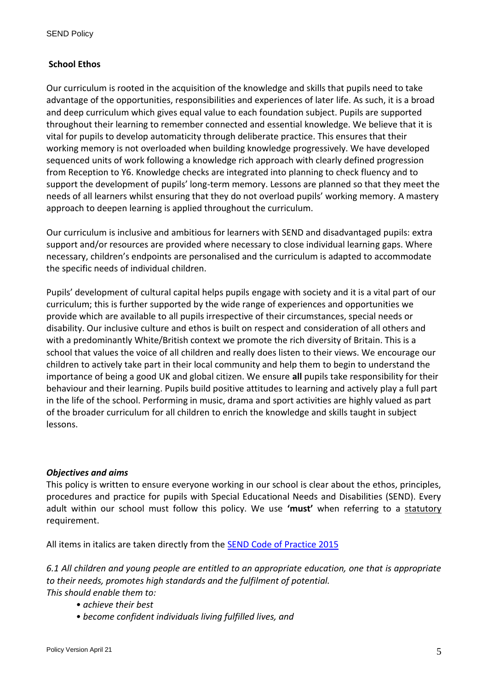#### <span id="page-4-0"></span>**School Ethos**

Our curriculum is rooted in the acquisition of the knowledge and skills that pupils need to take advantage of the opportunities, responsibilities and experiences of later life. As such, it is a broad and deep curriculum which gives equal value to each foundation subject. Pupils are supported throughout their learning to remember connected and essential knowledge. We believe that it is vital for pupils to develop automaticity through deliberate practice. This ensures that their working memory is not overloaded when building knowledge progressively. We have developed sequenced units of work following a knowledge rich approach with clearly defined progression from Reception to Y6. Knowledge checks are integrated into planning to check fluency and to support the development of pupils' long-term memory. Lessons are planned so that they meet the needs of all learners whilst ensuring that they do not overload pupils' working memory. A mastery approach to deepen learning is applied throughout the curriculum.

Our curriculum is inclusive and ambitious for learners with SEND and disadvantaged pupils: extra support and/or resources are provided where necessary to close individual learning gaps. Where necessary, children's endpoints are personalised and the curriculum is adapted to accommodate the specific needs of individual children.

Pupils' development of cultural capital helps pupils engage with society and it is a vital part of our curriculum; this is further supported by the wide range of experiences and opportunities we provide which are available to all pupils irrespective of their circumstances, special needs or disability. Our inclusive culture and ethos is built on respect and consideration of all others and with a predominantly White/British context we promote the rich diversity of Britain. This is a school that values the voice of all children and really does listen to their views. We encourage our children to actively take part in their local community and help them to begin to understand the importance of being a good UK and global citizen. We ensure **all** pupils take responsibility for their behaviour and their learning. Pupils build positive attitudes to learning and actively play a full part in the life of the school. Performing in music, drama and sport activities are highly valued as part of the broader curriculum for all children to enrich the knowledge and skills taught in subject lessons.

#### <span id="page-4-1"></span>*Objectives and aims*

This policy is written to ensure everyone working in our school is clear about the ethos, principles, procedures and practice for pupils with Special Educational Needs and Disabilities (SEND). Every adult within our school must follow this policy. We use **'must'** when referring to a statutory requirement.

All items in italics are taken directly from the **SEND Code of Practice 2015** 

*6.1 All children and young people are entitled to an appropriate education, one that is appropriate to their needs, promotes high standards and the fulfilment of potential. This should enable them to:* 

- *achieve their best*
- *become confident individuals living fulfilled lives, and*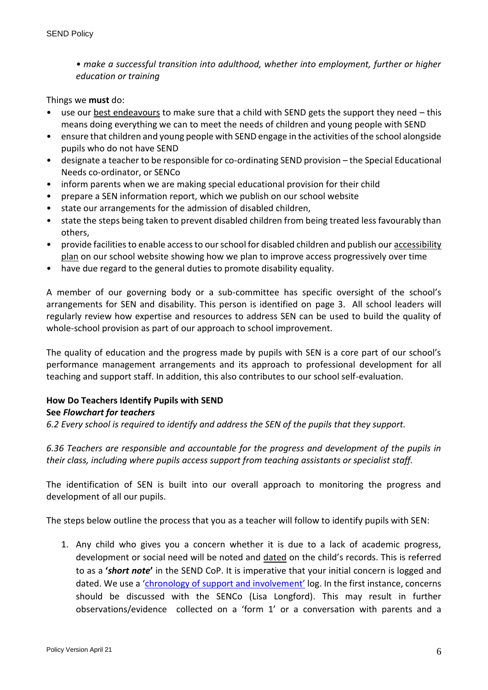*• make a successful transition into adulthood, whether into employment, further or higher education or training* 

Things we **must** do:

- use our best endeavours to make sure that a child with SEND gets the support they need  $-$  this means doing everything we can to meet the needs of children and young people with SEND
- ensure that children and young people with SEND engage in the activities of the school alongside pupils who do not have SEND
- designate a teacher to be responsible for co-ordinating SEND provision the Special Educational Needs co-ordinator, or SENCo
- inform parents when we are making special educational provision for their child
- prepare a SEN information report, which we publish on our school website
- state our arrangements for the admission of disabled children,
- state the steps being taken to prevent disabled children from being treated less favourably than others,
- provide facilities to enable access to our school for disabled children and publish our accessibility plan on our school website showing how we plan to improve access progressively over time
- have due regard to the general duties to promote disability equality.

A member of our governing body or a sub-committee has specific oversight of the school's arrangements for SEN and disability. This person is identified on page 3. All school leaders will regularly review how expertise and resources to address SEN can be used to build the quality of whole-school provision as part of our approach to school improvement.

The quality of education and the progress made by pupils with SEN is a core part of our school's performance management arrangements and its approach to professional development for all teaching and support staff. In addition, this also contributes to our school self-evaluation.

#### <span id="page-5-0"></span>**How Do Teachers Identify Pupils with SEND**

#### **See** *Flowchart for teachers*

*6.2 Every school is required to identify and address the SEN of the pupils that they support.* 

*6.36 Teachers are responsible and accountable for the progress and development of the pupils in their class, including where pupils access support from teaching assistants or specialist staff.* 

The identification of SEN is built into our overall approach to monitoring the progress and development of all our pupils.

The steps below outline the process that you as a teacher will follow to identify pupils with SEN:

1. Any child who gives you a concern whether it is due to a lack of academic progress, development or social need will be noted and dated on the child's records. This is referred to as a **'***short note***'** in the SEND CoP. It is imperative that your initial concern is logged and dated. We use a 'chronology of support and involvement' log. In the first instance, concerns should be discussed with the SENCo (Lisa Longford). This may result in further observations/evidence collected on a 'form 1' or a conversation with parents and a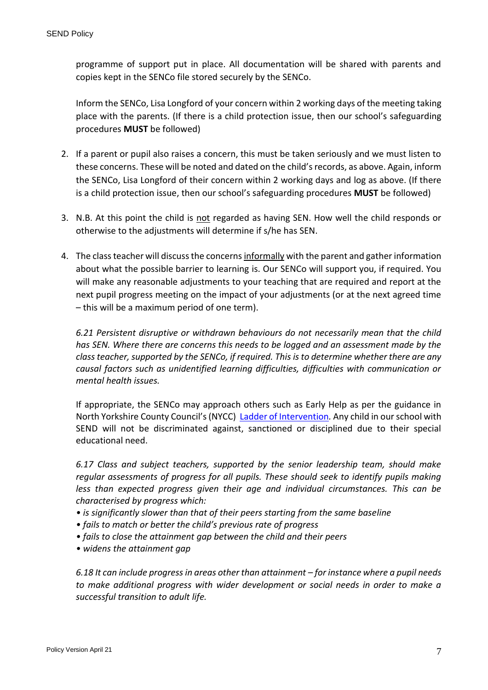programme of support put in place. All documentation will be shared with parents and copies kept in the SENCo file stored securely by the SENCo.

Inform the SENCo, Lisa Longford of your concern within 2 working days of the meeting taking place with the parents. (If there is a child protection issue, then our school's safeguarding procedures **MUST** be followed)

- 2. If a parent or pupil also raises a concern, this must be taken seriously and we must listen to these concerns. These will be noted and dated on the child's records, as above. Again, inform the SENCo, Lisa Longford of their concern within 2 working days and log as above. (If there is a child protection issue, then our school's safeguarding procedures **MUST** be followed)
- 3. N.B. At this point the child is not regarded as having SEN. How well the child responds or otherwise to the adjustments will determine if s/he has SEN.
- 4. The class teacher will discuss the concerns informally with the parent and gather information about what the possible barrier to learning is. Our SENCo will support you, if required. You will make any reasonable adjustments to your teaching that are required and report at the next pupil progress meeting on the impact of your adjustments (or at the next agreed time – this will be a maximum period of one term).

*6.21 Persistent disruptive or withdrawn behaviours do not necessarily mean that the child has SEN. Where there are concerns this needs to be logged and an assessment made by the class teacher, supported by the SENCo, if required. This is to determine whether there are any causal factors such as unidentified learning difficulties, difficulties with communication or mental health issues.* 

If appropriate, the SENCo may approach others such as Early Help as per the guidance in North Yorkshire County Council's (NYCC) [Ladder of Intervention](https://www.safeguardingchildren.co.uk/wp-content/uploads/2019/11/75036-Ladder-of-Intervention-final.pdf)*.* Any child in our school with SEND will not be discriminated against, sanctioned or disciplined due to their special educational need.

*6.17 Class and subject teachers, supported by the senior leadership team, should make regular assessments of progress for all pupils. These should seek to identify pupils making less than expected progress given their age and individual circumstances. This can be characterised by progress which:* 

- *is significantly slower than that of their peers starting from the same baseline*
- *fails to match or better the child's previous rate of progress*
- *fails to close the attainment gap between the child and their peers*
- *widens the attainment gap*

*6.18 It can include progress in areas other than attainment – for instance where a pupil needs to make additional progress with wider development or social needs in order to make a successful transition to adult life.*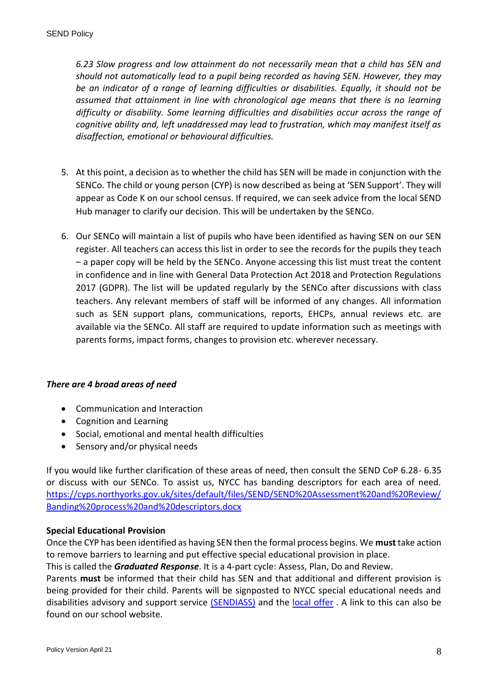*6.23 Slow progress and low attainment do not necessarily mean that a child has SEN and should not automatically lead to a pupil being recorded as having SEN. However, they may be an indicator of a range of learning difficulties or disabilities. Equally, it should not be assumed that attainment in line with chronological age means that there is no learning difficulty or disability. Some learning difficulties and disabilities occur across the range of cognitive ability and, left unaddressed may lead to frustration, which may manifest itself as disaffection, emotional or behavioural difficulties.* 

- 5. At this point, a decision as to whether the child has SEN will be made in conjunction with the SENCo. The child or young person (CYP) is now described as being at 'SEN Support'. They will appear as Code K on our school census. If required, we can seek advice from the local SEND Hub manager to clarify our decision. This will be undertaken by the SENCo.
- 6. Our SENCo will maintain a list of pupils who have been identified as having SEN on our SEN register. All teachers can access this list in order to see the records for the pupils they teach – a paper copy will be held by the SENCo. Anyone accessing this list must treat the content in confidence and in line with General Data Protection Act 2018 and Protection Regulations 2017 (GDPR). The list will be updated regularly by the SENCo after discussions with class teachers. Any relevant members of staff will be informed of any changes. All information such as SEN support plans, communications, reports, EHCPs, annual reviews etc. are available via the SENCo. All staff are required to update information such as meetings with parents forms, impact forms, changes to provision etc. wherever necessary.

#### <span id="page-7-0"></span>*There are 4 broad areas of need*

- Communication and Interaction
- Cognition and Learning
- Social, emotional and mental health difficulties
- Sensory and/or physical needs

If you would like further clarification of these areas of need, then consult the SEND CoP 6.28- 6.35 or discuss with our SENCo. To assist us, NYCC has banding descriptors for each area of need. [https://cyps.northyorks.gov.uk/sites/default/files/SEND/SEND%20Assessment%20and%20Review/](https://cyps.northyorks.gov.uk/sites/default/files/SEND/SEND%20Assessment%20and%20Review/Banding%20process%20and%20descriptors.docx) [Banding%20process%20and%20descriptors.docx](https://cyps.northyorks.gov.uk/sites/default/files/SEND/SEND%20Assessment%20and%20Review/Banding%20process%20and%20descriptors.docx)

#### <span id="page-7-1"></span>**Special Educational Provision**

Once the CYP has been identified as having SEN then the formal process begins. We **must** take action to remove barriers to learning and put effective special educational provision in place.

This is called the *Graduated Response*. It is a 4-part cycle: Assess, Plan, Do and Review.

Parents **must** be informed that their child has SEN and that additional and different provision is being provided for their child. Parents will be signposted to NYCC special educational needs and disabilities advisory and support service [\(SENDIASS\)](http://sendiassnorthyorkshire.co.uk/) and the [local offer](https://www.northyorks.gov.uk/send-local-offer) . A link to this can also be found on our school website.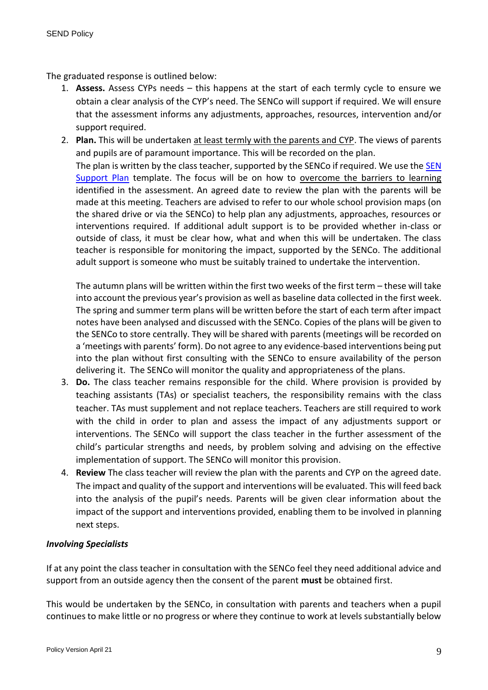The graduated response is outlined below:

- 1. **Assess.** Assess CYPs needs this happens at the start of each termly cycle to ensure we obtain a clear analysis of the CYP's need. The SENCo will support if required. We will ensure that the assessment informs any adjustments, approaches, resources, intervention and/or support required.
- 2. **Plan.** This will be undertaken at least termly with the parents and CYP. The views of parents and pupils are of paramount importance. This will be recorded on the plan. The plan is written by the class teacher, supported by the SENCo if required. We use the SEN Support Plan template. The focus will be on how to overcome the barriers to learning identified in the assessment. An agreed date to review the plan with the parents will be made at this meeting. Teachers are advised to refer to our whole school provision maps (on the shared drive or via the SENCo) to help plan any adjustments, approaches, resources or interventions required. If additional adult support is to be provided whether in-class or outside of class, it must be clear how, what and when this will be undertaken. The class teacher is responsible for monitoring the impact, supported by the SENCo. The additional adult support is someone who must be suitably trained to undertake the intervention.

The autumn plans will be written within the first two weeks of the first term – these will take into account the previous year's provision as well as baseline data collected in the first week. The spring and summer term plans will be written before the start of each term after impact notes have been analysed and discussed with the SENCo. Copies of the plans will be given to the SENCo to store centrally. They will be shared with parents (meetings will be recorded on a 'meetings with parents' form). Do not agree to any evidence-based interventions being put into the plan without first consulting with the SENCo to ensure availability of the person delivering it. The SENCo will monitor the quality and appropriateness of the plans.

- 3. **Do.** The class teacher remains responsible for the child. Where provision is provided by teaching assistants (TAs) or specialist teachers, the responsibility remains with the class teacher. TAs must supplement and not replace teachers. Teachers are still required to work with the child in order to plan and assess the impact of any adjustments support or interventions. The SENCo will support the class teacher in the further assessment of the child's particular strengths and needs, by problem solving and advising on the effective implementation of support. The SENCo will monitor this provision.
- 4. **Review** The class teacher will review the plan with the parents and CYP on the agreed date. The impact and quality of the support and interventions will be evaluated. This will feed back into the analysis of the pupil's needs. Parents will be given clear information about the impact of the support and interventions provided, enabling them to be involved in planning next steps.

#### <span id="page-8-0"></span>*Involving Specialists*

If at any point the class teacher in consultation with the SENCo feel they need additional advice and support from an outside agency then the consent of the parent **must** be obtained first.

This would be undertaken by the SENCo, in consultation with parents and teachers when a pupil continues to make little or no progress or where they continue to work at levels substantially below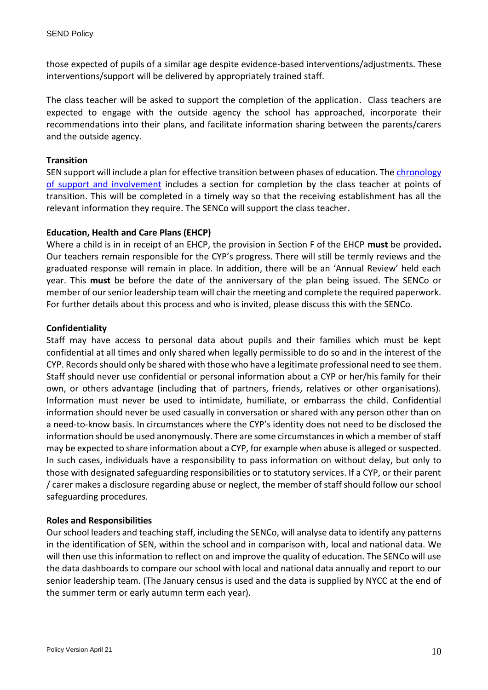those expected of pupils of a similar age despite evidence-based interventions/adjustments. These interventions/support will be delivered by appropriately trained staff.

The class teacher will be asked to support the completion of the application. Class teachers are expected to engage with the outside agency the school has approached, incorporate their recommendations into their plans, and facilitate information sharing between the parents/carers and the outside agency.

#### <span id="page-9-0"></span>**Transition**

SEN support will include a plan for effective transition between phases of education. The *chronology* of support and involvement includes a section for completion by the class teacher at points of transition. This will be completed in a timely way so that the receiving establishment has all the relevant information they require. The SENCo will support the class teacher.

#### <span id="page-9-1"></span>**Education, Health and Care Plans (EHCP)**

Where a child is in in receipt of an EHCP, the provision in Section F of the EHCP **must** be provided**.**  Our teachers remain responsible for the CYP's progress. There will still be termly reviews and the graduated response will remain in place. In addition, there will be an 'Annual Review' held each year. This **must** be before the date of the anniversary of the plan being issued. The SENCo or member of our senior leadership team will chair the meeting and complete the required paperwork. For further details about this process and who is invited, please discuss this with the SENCo.

#### <span id="page-9-2"></span>**Confidentiality**

Staff may have access to personal data about pupils and their families which must be kept confidential at all times and only shared when legally permissible to do so and in the interest of the CYP. Records should only be shared with those who have a legitimate professional need to see them. Staff should never use confidential or personal information about a CYP or her/his family for their own, or others advantage (including that of partners, friends, relatives or other organisations). Information must never be used to intimidate, humiliate, or embarrass the child. Confidential information should never be used casually in conversation or shared with any person other than on a need-to-know basis. In circumstances where the CYP's identity does not need to be disclosed the information should be used anonymously. There are some circumstances in which a member of staff may be expected to share information about a CYP, for example when abuse is alleged or suspected. In such cases, individuals have a responsibility to pass information on without delay, but only to those with designated safeguarding responsibilities or to statutory services. If a CYP, or their parent / carer makes a disclosure regarding abuse or neglect, the member of staff should follow our school safeguarding procedures.

#### <span id="page-9-3"></span>**Roles and Responsibilities**

Our school leaders and teaching staff, including the SENCo, will analyse data to identify any patterns in the identification of SEN, within the school and in comparison with, local and national data. We will then use this information to reflect on and improve the quality of education. The SENCo will use the data dashboards to compare our school with local and national data annually and report to our senior leadership team. (The January census is used and the data is supplied by NYCC at the end of the summer term or early autumn term each year).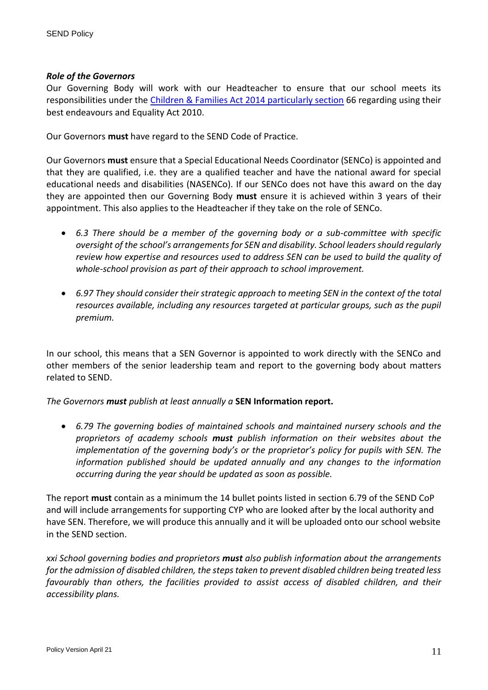#### <span id="page-10-0"></span>*Role of the Governors*

Our Governing Body will work with our Headteacher to ensure that our school meets its responsibilities under the [Children & Families Act 2014 particularly section](https://www.legislation.gov.uk/ukpga/2014/6/pdfs/ukpga_20140006_en.pdf) 66 regarding using their best endeavours and Equality Act 2010.

Our Governors **must** have regard to the SEND Code of Practice.

Our Governors **must** ensure that a Special Educational Needs Coordinator (SENCo) is appointed and that they are qualified, i.e. they are a qualified teacher and have the national award for special educational needs and disabilities (NASENCo). If our SENCo does not have this award on the day they are appointed then our Governing Body **must** ensure it is achieved within 3 years of their appointment. This also applies to the Headteacher if they take on the role of SENCo.

- *6.3 There should be a member of the governing body or a sub-committee with specific oversight of the school's arrangements for SEN and disability. School leaders should regularly review how expertise and resources used to address SEN can be used to build the quality of whole-school provision as part of their approach to school improvement.*
- *6.97 They should consider their strategic approach to meeting SEN in the context of the total resources available, including any resources targeted at particular groups, such as the pupil premium.*

In our school, this means that a SEN Governor is appointed to work directly with the SENCo and other members of the senior leadership team and report to the governing body about matters related to SEND.

*The Governors must publish at least annually a* **SEN Information report.**

 *6.79 The governing bodies of maintained schools and maintained nursery schools and the proprietors of academy schools must publish information on their websites about the implementation of the governing body's or the proprietor's policy for pupils with SEN. The information published should be updated annually and any changes to the information occurring during the year should be updated as soon as possible.* 

The report **must** contain as a minimum the 14 bullet points listed in section 6.79 of the SEND CoP and will include arrangements for supporting CYP who are looked after by the local authority and have SEN. Therefore, we will produce this annually and it will be uploaded onto our school website in the SEND section.

*xxi School governing bodies and proprietors must also publish information about the arrangements for the admission of disabled children, the steps taken to prevent disabled children being treated less favourably than others, the facilities provided to assist access of disabled children, and their accessibility plans.*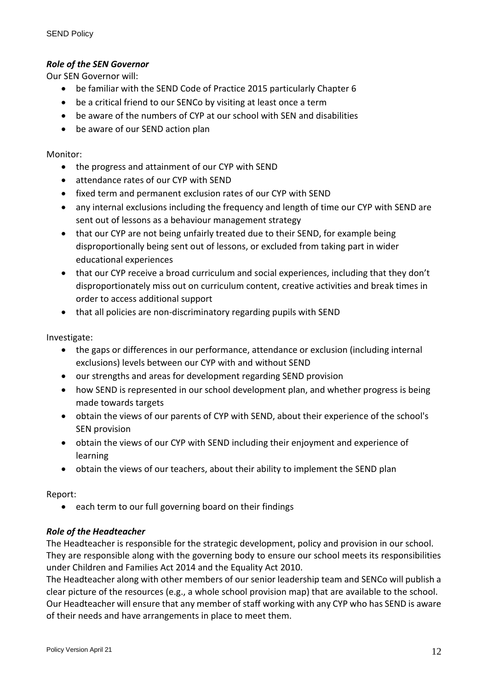#### <span id="page-11-0"></span>*Role of the SEN Governor*

Our SEN Governor will:

- be familiar with the SEND Code of Practice 2015 particularly Chapter 6
- be a critical friend to our SENCo by visiting at least once a term
- be aware of the numbers of CYP at our school with SEN and disabilities
- be aware of our SEND action plan

#### Monitor:

- the progress and attainment of our CYP with SEND
- attendance rates of our CYP with SEND
- fixed term and permanent exclusion rates of our CYP with SEND
- any internal exclusions including the frequency and length of time our CYP with SEND are sent out of lessons as a behaviour management strategy
- that our CYP are not being unfairly treated due to their SEND, for example being disproportionally being sent out of lessons, or excluded from taking part in wider educational experiences
- that our CYP receive a broad curriculum and social experiences, including that they don't disproportionately miss out on curriculum content, creative activities and break times in order to access additional support
- that all policies are non-discriminatory regarding pupils with SEND

#### Investigate:

- the gaps or differences in our performance, attendance or exclusion (including internal exclusions) levels between our CYP with and without SEND
- our strengths and areas for development regarding SEND provision
- how SEND is represented in our school development plan, and whether progress is being made towards targets
- obtain the views of our parents of CYP with SEND, about their experience of the school's SEN provision
- obtain the views of our CYP with SEND including their enjoyment and experience of learning
- obtain the views of our teachers, about their ability to implement the SEND plan

Report:

each term to our full governing board on their findings

#### <span id="page-11-1"></span>*Role of the Headteacher*

The Headteacher is responsible for the strategic development, policy and provision in our school. They are responsible along with the governing body to ensure our school meets its responsibilities under Children and Families Act 2014 and the Equality Act 2010.

The Headteacher along with other members of our senior leadership team and SENCo will publish a clear picture of the resources (e.g., a whole school provision map) that are available to the school. Our Headteacher will ensure that any member of staff working with any CYP who has SEND is aware of their needs and have arrangements in place to meet them.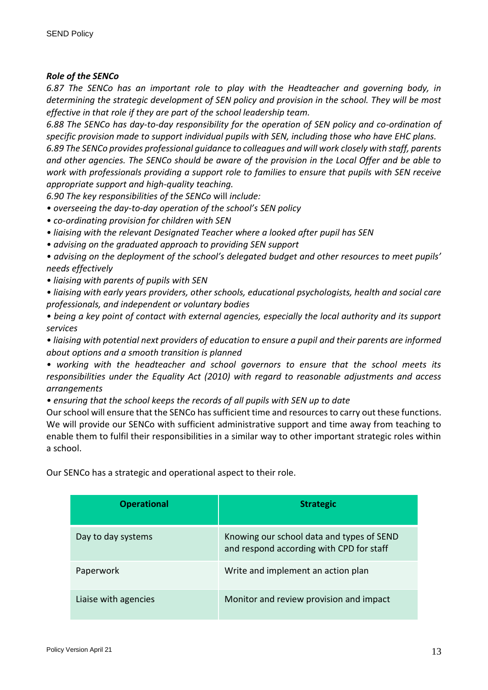#### <span id="page-12-0"></span>*Role of the SENCo*

*6.87 The SENCo has an important role to play with the Headteacher and governing body, in determining the strategic development of SEN policy and provision in the school. They will be most effective in that role if they are part of the school leadership team.*

*6.88 The SENCo has day-to-day responsibility for the operation of SEN policy and co-ordination of specific provision made to support individual pupils with SEN, including those who have EHC plans.*

*6.89 The SENCo provides professional guidance to colleagues and will work closely with staff, parents and other agencies. The SENCo should be aware of the provision in the Local Offer and be able to work with professionals providing a support role to families to ensure that pupils with SEN receive appropriate support and high-quality teaching.*

*6.90 The key responsibilities of the SENCo* will *include:*

- *overseeing the day-to-day operation of the school's SEN policy*
- *co-ordinating provision for children with SEN*
- liaising with the relevant Designated Teacher where a looked after pupil has SEN
- *advising on the graduated approach to providing SEN support*

*• advising on the deployment of the school's delegated budget and other resources to meet pupils' needs effectively*

*• liaising with parents of pupils with SEN*

*• liaising with early years providers, other schools, educational psychologists, health and social care professionals, and independent or voluntary bodies*

*• being a key point of contact with external agencies, especially the local authority and its support services*

*• liaising with potential next providers of education to ensure a pupil and their parents are informed about options and a smooth transition is planned*

*• working with the headteacher and school governors to ensure that the school meets its responsibilities under the Equality Act (2010) with regard to reasonable adjustments and access arrangements*

*• ensuring that the school keeps the records of all pupils with SEN up to date*

Our school will ensure that the SENCo has sufficient time and resources to carry out these functions. We will provide our SENCo with sufficient administrative support and time away from teaching to enable them to fulfil their responsibilities in a similar way to other important strategic roles within a school.

Our SENCo has a strategic and operational aspect to their role.

| <b>Operational</b>   | <b>Strategic</b>                                                                      |
|----------------------|---------------------------------------------------------------------------------------|
| Day to day systems   | Knowing our school data and types of SEND<br>and respond according with CPD for staff |
| Paperwork            | Write and implement an action plan                                                    |
| Liaise with agencies | Monitor and review provision and impact                                               |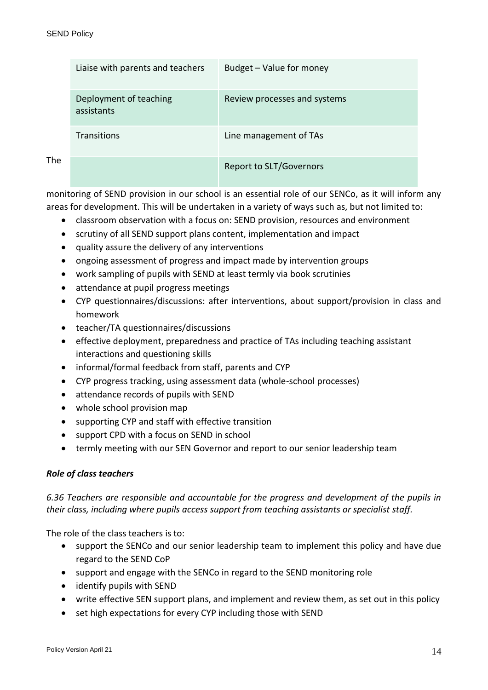|     | Liaise with parents and teachers     | Budget - Value for money       |
|-----|--------------------------------------|--------------------------------|
|     | Deployment of teaching<br>assistants | Review processes and systems   |
|     | <b>Transitions</b>                   | Line management of TAs         |
| The |                                      | <b>Report to SLT/Governors</b> |

monitoring of SEND provision in our school is an essential role of our SENCo, as it will inform any areas for development. This will be undertaken in a variety of ways such as, but not limited to:

- classroom observation with a focus on: SEND provision, resources and environment
- scrutiny of all SEND support plans content, implementation and impact
- quality assure the delivery of any interventions
- ongoing assessment of progress and impact made by intervention groups
- work sampling of pupils with SEND at least termly via book scrutinies
- attendance at pupil progress meetings
- CYP questionnaires/discussions: after interventions, about support/provision in class and homework
- teacher/TA questionnaires/discussions
- effective deployment, preparedness and practice of TAs including teaching assistant interactions and questioning skills
- informal/formal feedback from staff, parents and CYP
- CYP progress tracking, using assessment data (whole-school processes)
- attendance records of pupils with SEND
- whole school provision map
- supporting CYP and staff with effective transition
- support CPD with a focus on SEND in school
- termly meeting with our SEN Governor and report to our senior leadership team

#### <span id="page-13-0"></span>*Role of class teachers*

*6.36 Teachers are responsible and accountable for the progress and development of the pupils in their class, including where pupils access support from teaching assistants or specialist staff.* 

The role of the class teachers is to:

- support the SENCo and our senior leadership team to implement this policy and have due regard to the SEND CoP
- support and engage with the SENCo in regard to the SEND monitoring role
- identify pupils with SEND
- write effective SEN support plans, and implement and review them, as set out in this policy
- set high expectations for every CYP including those with SEND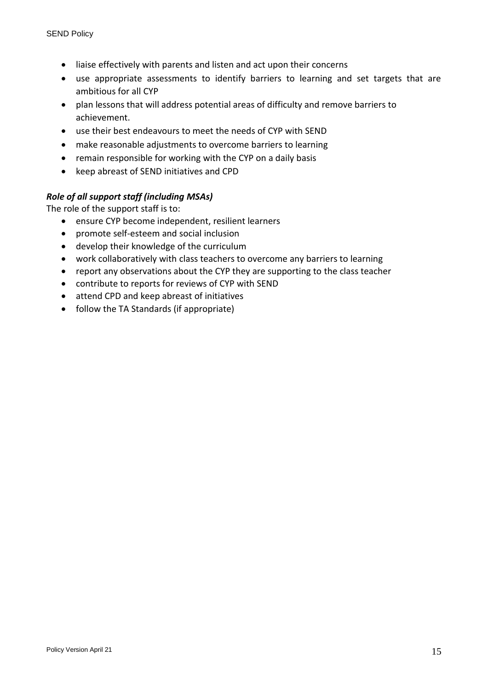- liaise effectively with parents and listen and act upon their concerns
- use appropriate assessments to identify barriers to learning and set targets that are ambitious for all CYP
- plan lessons that will address potential areas of difficulty and remove barriers to achievement.
- use their best endeavours to meet the needs of CYP with SEND
- make reasonable adjustments to overcome barriers to learning
- remain responsible for working with the CYP on a daily basis
- keep abreast of SEND initiatives and CPD

#### <span id="page-14-0"></span>*Role of all support staff (including MSAs)*

The role of the support staff is to:

- ensure CYP become independent, resilient learners
- promote self-esteem and social inclusion
- develop their knowledge of the curriculum
- work collaboratively with class teachers to overcome any barriers to learning
- report any observations about the CYP they are supporting to the class teacher
- contribute to reports for reviews of CYP with SEND
- attend CPD and keep abreast of initiatives
- follow the TA Standards (if appropriate)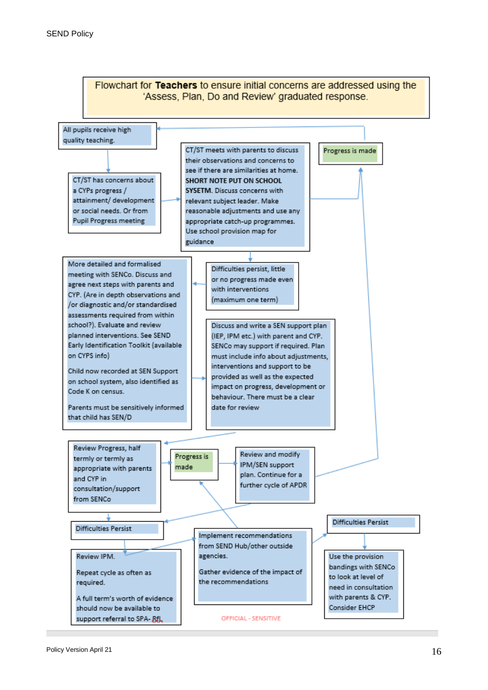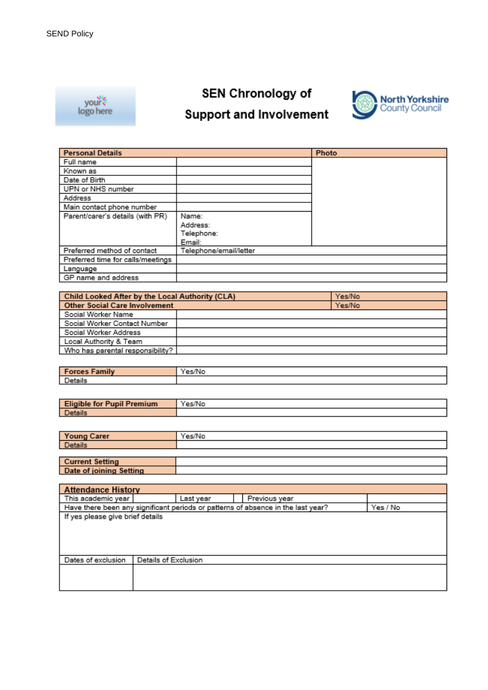

# SEN Chronology of





| <b>Personal Details</b>           |                        | Photo |
|-----------------------------------|------------------------|-------|
| Full name                         |                        |       |
| Known as                          |                        |       |
| Date of Birth                     |                        |       |
| UPN or NHS number                 |                        |       |
| Address                           |                        |       |
| Main contact phone number         |                        |       |
| Parent/carer's details (with PR)  | Name:                  |       |
|                                   | Address:               |       |
|                                   | Telephone:             |       |
|                                   | Email:                 |       |
| Preferred method of contact       | Telephone/email/letter |       |
| Preferred time for calls/meetings |                        |       |
| Language                          |                        |       |
| GP name and address               |                        |       |

| Child Looked After by the Local Authority (CLA) |  | Yes/No |  |
|-------------------------------------------------|--|--------|--|
| Other Social Care Involvement                   |  | Yes/No |  |
| Social Worker Name                              |  |        |  |
| Social Worker Contact Number                    |  |        |  |
| Social Worker Address                           |  |        |  |
| Local Authority & Team                          |  |        |  |
| Who has parental responsibility?                |  |        |  |

| ı<br><b>STAR</b><br>___  | $\cdots$ |
|--------------------------|----------|
| <b>Dotail</b> e<br>тент⊾ |          |

| ΙE       | <b>ABL</b><br>. . |
|----------|-------------------|
| l Deteil |                   |

|                         | Yes/No |
|-------------------------|--------|
| Young Carer             |        |
| <b>Details</b>          |        |
|                         |        |
| <b>Current Setting</b>  |        |
| Date of ioining Setting |        |

| <b>Attendance History</b>        |                      |           |  |                                                                                  |          |  |  |
|----------------------------------|----------------------|-----------|--|----------------------------------------------------------------------------------|----------|--|--|
| This academic year               |                      | Last year |  | Previous year                                                                    |          |  |  |
|                                  |                      |           |  | Have there been any significant periods or patterns of absence in the last year? | Yes / No |  |  |
| If yes please give brief details |                      |           |  |                                                                                  |          |  |  |
|                                  |                      |           |  |                                                                                  |          |  |  |
|                                  |                      |           |  |                                                                                  |          |  |  |
|                                  |                      |           |  |                                                                                  |          |  |  |
|                                  |                      |           |  |                                                                                  |          |  |  |
| Dates of exclusion               | Details of Exclusion |           |  |                                                                                  |          |  |  |
|                                  |                      |           |  |                                                                                  |          |  |  |
|                                  |                      |           |  |                                                                                  |          |  |  |
|                                  |                      |           |  |                                                                                  |          |  |  |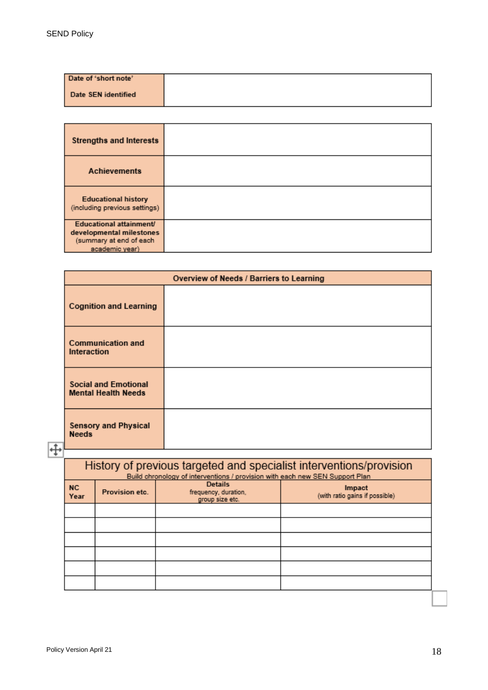| Date of 'short note' |  |  |
|----------------------|--|--|
| Date SEN identified  |  |  |

| <b>Strengths and Interests</b>                                                                   |  |
|--------------------------------------------------------------------------------------------------|--|
| <b>Achievements</b>                                                                              |  |
| <b>Educational history</b><br>(including previous settings)                                      |  |
| Educational attainment/<br>developmental milestones<br>(summary at end of each<br>academic year) |  |

| Overview of Needs / Barriers to Learning                  |  |  |  |  |  |  |
|-----------------------------------------------------------|--|--|--|--|--|--|
| <b>Cognition and Learning</b>                             |  |  |  |  |  |  |
| <b>Communication and</b><br>Interaction                   |  |  |  |  |  |  |
| <b>Social and Emotional</b><br><b>Mental Health Needs</b> |  |  |  |  |  |  |
| <b>Sensory and Physical</b><br><b>Needs</b>               |  |  |  |  |  |  |

 $\overline{+}$ 

| History of previous targeted and specialist interventions/provision<br>Build chronology of interventions / provision with each new SEN Support Plan |                                                                                                                         |  |  |  |  |  |  |
|-----------------------------------------------------------------------------------------------------------------------------------------------------|-------------------------------------------------------------------------------------------------------------------------|--|--|--|--|--|--|
| <b>NC</b><br>Year                                                                                                                                   | <b>Details</b><br>Impact<br>Provision etc.<br>frequency, duration,<br>(with ratio gains if possible)<br>group size etc. |  |  |  |  |  |  |
|                                                                                                                                                     |                                                                                                                         |  |  |  |  |  |  |
|                                                                                                                                                     |                                                                                                                         |  |  |  |  |  |  |
|                                                                                                                                                     |                                                                                                                         |  |  |  |  |  |  |
|                                                                                                                                                     |                                                                                                                         |  |  |  |  |  |  |
|                                                                                                                                                     |                                                                                                                         |  |  |  |  |  |  |
|                                                                                                                                                     |                                                                                                                         |  |  |  |  |  |  |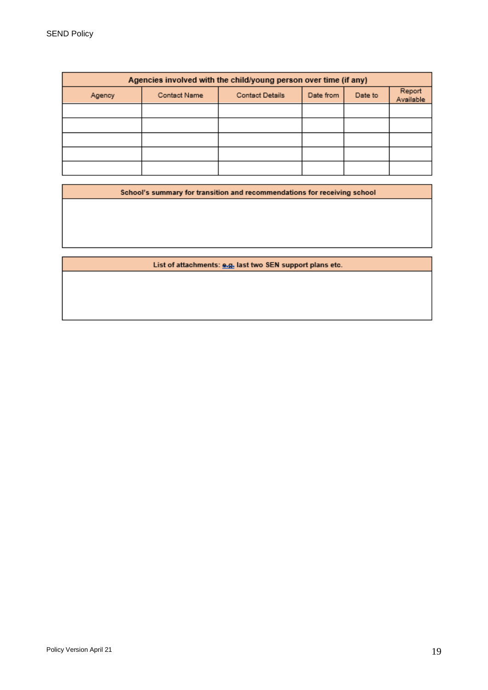| Agencies involved with the child/young person over time (if any)                                       |  |  |  |  |  |  |  |
|--------------------------------------------------------------------------------------------------------|--|--|--|--|--|--|--|
| Report<br><b>Contact Name</b><br><b>Contact Details</b><br>Date from<br>Date to<br>Agency<br>Available |  |  |  |  |  |  |  |
|                                                                                                        |  |  |  |  |  |  |  |
|                                                                                                        |  |  |  |  |  |  |  |
|                                                                                                        |  |  |  |  |  |  |  |
|                                                                                                        |  |  |  |  |  |  |  |
|                                                                                                        |  |  |  |  |  |  |  |

School's summary for transition and recommendations for receiving school

List of attachments: e.g. last two SEN support plans etc.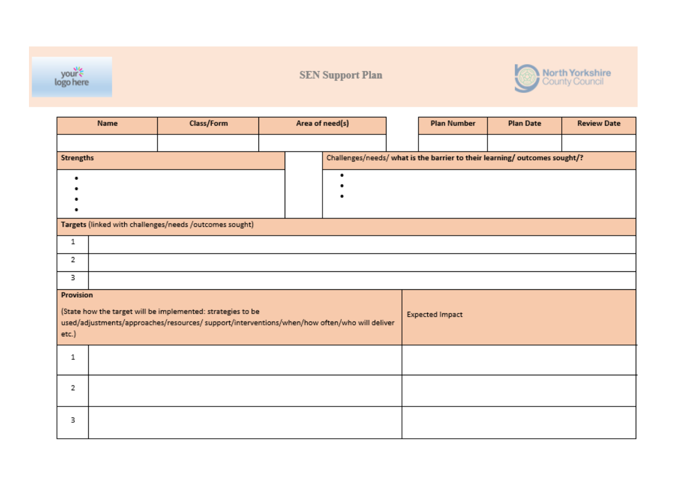



|                    | Name | Class/Form                                                                                                                                                  | Area of need(s) | <b>Plan Number</b>     | <b>Plan Date</b>                                                          | <b>Review Date</b> |
|--------------------|------|-------------------------------------------------------------------------------------------------------------------------------------------------------------|-----------------|------------------------|---------------------------------------------------------------------------|--------------------|
|                    |      |                                                                                                                                                             |                 |                        |                                                                           |                    |
| <b>Strengths</b>   |      |                                                                                                                                                             |                 |                        | Challenges/needs/vvhat is the barrier to their learning/outcomes sought/? |                    |
| ٠                  |      |                                                                                                                                                             | ٠<br>٠          |                        |                                                                           |                    |
|                    |      | Targets (linked with challenges/needs /outcomes sought)                                                                                                     |                 |                        |                                                                           |                    |
| 1                  |      |                                                                                                                                                             |                 |                        |                                                                           |                    |
| 2                  |      |                                                                                                                                                             |                 |                        |                                                                           |                    |
| 3                  |      |                                                                                                                                                             |                 |                        |                                                                           |                    |
| Provision<br>etc.) |      | (State how the target will be implemented: strategies to be<br>used/adjustments/approaches/resources/ support/interventions/when/how often/who will deliver |                 | <b>Expected Impact</b> |                                                                           |                    |
| 1                  |      |                                                                                                                                                             |                 |                        |                                                                           |                    |
| 2                  |      |                                                                                                                                                             |                 |                        |                                                                           |                    |
| 3                  |      |                                                                                                                                                             |                 |                        |                                                                           |                    |